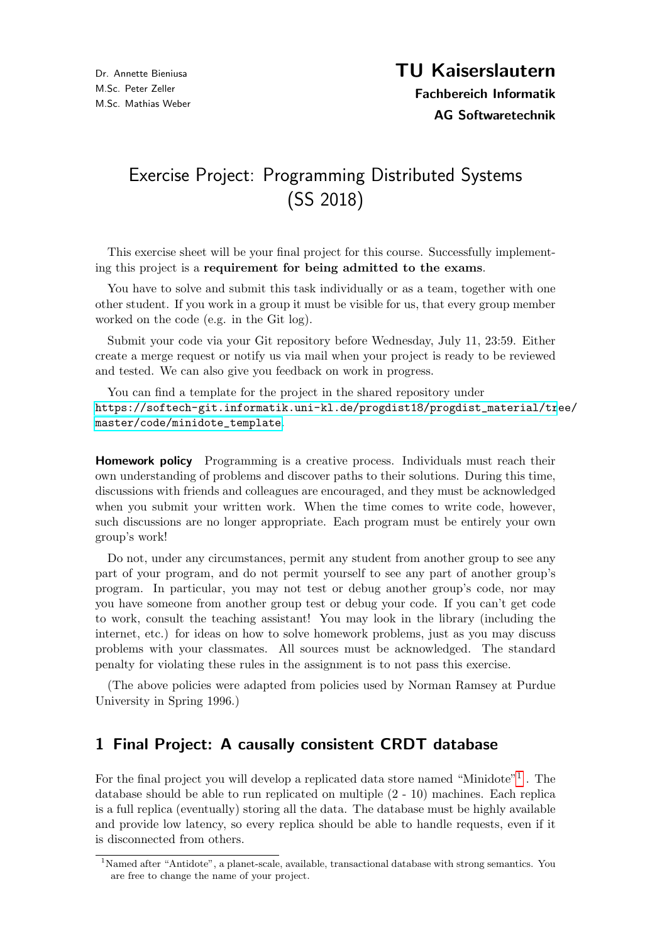# Exercise Project: Programming Distributed Systems (SS 2018)

This exercise sheet will be your final project for this course. Successfully implementing this project is a requirement for being admitted to the exams.

You have to solve and submit this task individually or as a team, together with one other student. If you work in a group it must be visible for us, that every group member worked on the code (e.g. in the Git log).

Submit your code via your Git repository before Wednesday, July 11, 23:59. Either create a merge request or notify us via mail when your project is ready to be reviewed and tested. We can also give you feedback on work in progress.

You can find a template for the project in the shared repository under [https://softech-git.informatik.uni-kl.de/progdist18/progdist\\_material/tr](https://softech-git.informatik.uni-kl.de/progdist18/progdist_material/tree/master/code/minidote_template)ee/ [master/code/minidote\\_template](https://softech-git.informatik.uni-kl.de/progdist18/progdist_material/tree/master/code/minidote_template).

**Homework policy** Programming is a creative process. Individuals must reach their own understanding of problems and discover paths to their solutions. During this time, discussions with friends and colleagues are encouraged, and they must be acknowledged when you submit your written work. When the time comes to write code, however, such discussions are no longer appropriate. Each program must be entirely your own group's work!

Do not, under any circumstances, permit any student from another group to see any part of your program, and do not permit yourself to see any part of another group's program. In particular, you may not test or debug another group's code, nor may you have someone from another group test or debug your code. If you can't get code to work, consult the teaching assistant! You may look in the library (including the internet, etc.) for ideas on how to solve homework problems, just as you may discuss problems with your classmates. All sources must be acknowledged. The standard penalty for violating these rules in the assignment is to not pass this exercise.

(The above policies were adapted from policies used by Norman Ramsey at Purdue University in Spring 1996.)

## 1 Final Project: A causally consistent CRDT database

For the final project you will develop a replicated data store named "Minidote"<sup>[1](#page-0-0)</sup>. The database should be able to run replicated on multiple (2 - 10) machines. Each replica is a full replica (eventually) storing all the data. The database must be highly available and provide low latency, so every replica should be able to handle requests, even if it is disconnected from others.

<span id="page-0-0"></span><sup>1</sup>Named after "Antidote", a planet-scale, available, transactional database with strong semantics. You are free to change the name of your project.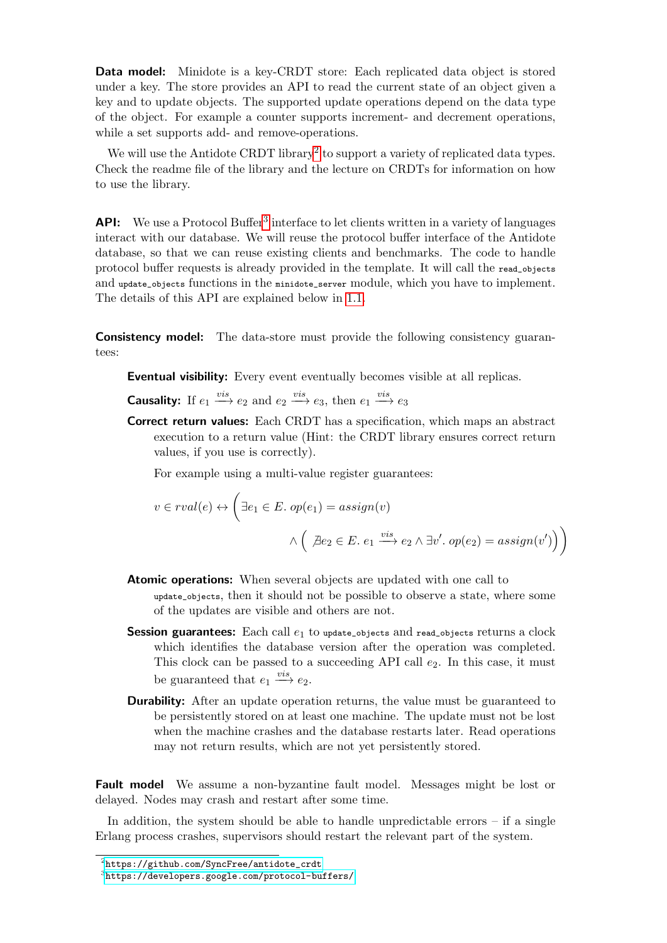**Data model:** Minidote is a key-CRDT store: Each replicated data object is stored under a key. The store provides an API to read the current state of an object given a key and to update objects. The supported update operations depend on the data type of the object. For example a counter supports increment- and decrement operations, while a set supports add- and remove-operations.

We will use the Antidote CRDT library<sup>[2](#page-1-0)</sup> to support a variety of replicated data types. Check the readme file of the library and the lecture on CRDTs for information on how to use the library.

API: We use a Protocol Buffer<sup>[3](#page-1-1)</sup> interface to let clients written in a variety of languages interact with our database. We will reuse the protocol buffer interface of the Antidote database, so that we can reuse existing clients and benchmarks. The code to handle protocol buffer requests is already provided in the template. It will call the read\_objects and update\_objects functions in the minidote\_server module, which you have to implement. The details of this API are explained below in [1.1.](#page-3-0)

**Consistency model:** The data-store must provide the following consistency guarantees:

Eventual visibility: Every event eventually becomes visible at all replicas.

**Causality:** If  $e_1 \xrightarrow{vis} e_2$  and  $e_2 \xrightarrow{vis} e_3$ , then  $e_1 \xrightarrow{vis} e_3$ 

Correct return values: Each CRDT has a specification, which maps an abstract execution to a return value (Hint: the CRDT library ensures correct return values, if you use is correctly).

For example using a multi-value register guarantees:

$$
v \in \text{rval}(e) \leftrightarrow \left(\exists e_1 \in E. \text{ op}(e_1) = \text{assign}(v) \land \left(\not \exists e_2 \in E. \ e_1 \xrightarrow{vis} e_2 \land \exists v'. \text{ op}(e_2) = \text{assign}(v')\right)\right)
$$

- **Atomic operations:** When several objects are updated with one call to update\_objects, then it should not be possible to observe a state, where some of the updates are visible and others are not.
- **Session guarantees:** Each call  $e_1$  to update\_objects and read\_objects returns a clock which identifies the database version after the operation was completed. This clock can be passed to a succeeding API call  $e_2$ . In this case, it must be guaranteed that  $e_1 \xrightarrow{vis} e_2$ .
- **Durability:** After an update operation returns, the value must be guaranteed to be persistently stored on at least one machine. The update must not be lost when the machine crashes and the database restarts later. Read operations may not return results, which are not yet persistently stored.

Fault model We assume a non-byzantine fault model. Messages might be lost or delayed. Nodes may crash and restart after some time.

In addition, the system should be able to handle unpredictable errors – if a single Erlang process crashes, supervisors should restart the relevant part of the system.

<span id="page-1-0"></span> $^{2}$ [https://github.com/SyncFree/antidote\\_crdt](https://github.com/SyncFree/antidote_crdt)

<span id="page-1-1"></span> $^3$ <https://developers.google.com/protocol-buffers/>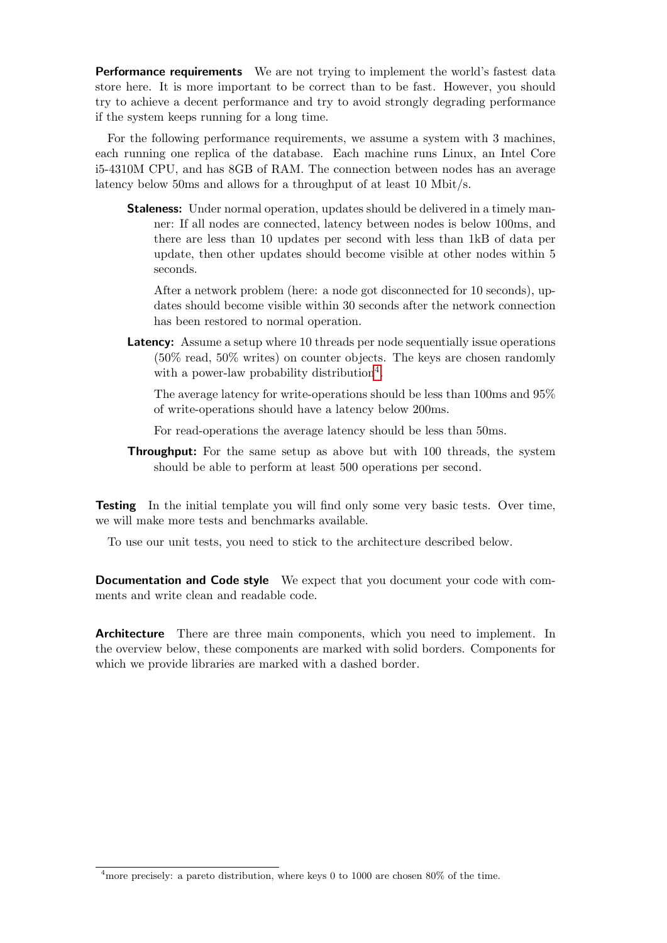**Performance requirements** We are not trying to implement the world's fastest data store here. It is more important to be correct than to be fast. However, you should try to achieve a decent performance and try to avoid strongly degrading performance if the system keeps running for a long time.

For the following performance requirements, we assume a system with 3 machines, each running one replica of the database. Each machine runs Linux, an Intel Core i5-4310M CPU, and has 8GB of RAM. The connection between nodes has an average latency below 50ms and allows for a throughput of at least 10 Mbit/s.

Staleness: Under normal operation, updates should be delivered in a timely manner: If all nodes are connected, latency between nodes is below 100ms, and there are less than 10 updates per second with less than 1kB of data per update, then other updates should become visible at other nodes within 5 seconds.

After a network problem (here: a node got disconnected for 10 seconds), updates should become visible within 30 seconds after the network connection has been restored to normal operation.

Latency: Assume a setup where 10 threads per node sequentially issue operations (50% read, 50% writes) on counter objects. The keys are chosen randomly with a power-law probability distribution<sup>[4](#page-2-0)</sup>.

The average latency for write-operations should be less than 100ms and 95% of write-operations should have a latency below 200ms.

For read-operations the average latency should be less than 50ms.

**Throughput:** For the same setup as above but with 100 threads, the system should be able to perform at least 500 operations per second.

**Testing** In the initial template you will find only some very basic tests. Over time, we will make more tests and benchmarks available.

To use our unit tests, you need to stick to the architecture described below.

Documentation and Code style We expect that you document your code with comments and write clean and readable code.

Architecture There are three main components, which you need to implement. In the overview below, these components are marked with solid borders. Components for which we provide libraries are marked with a dashed border.

<span id="page-2-0"></span><sup>&</sup>lt;sup>4</sup>more precisely: a pareto distribution, where keys 0 to 1000 are chosen 80% of the time.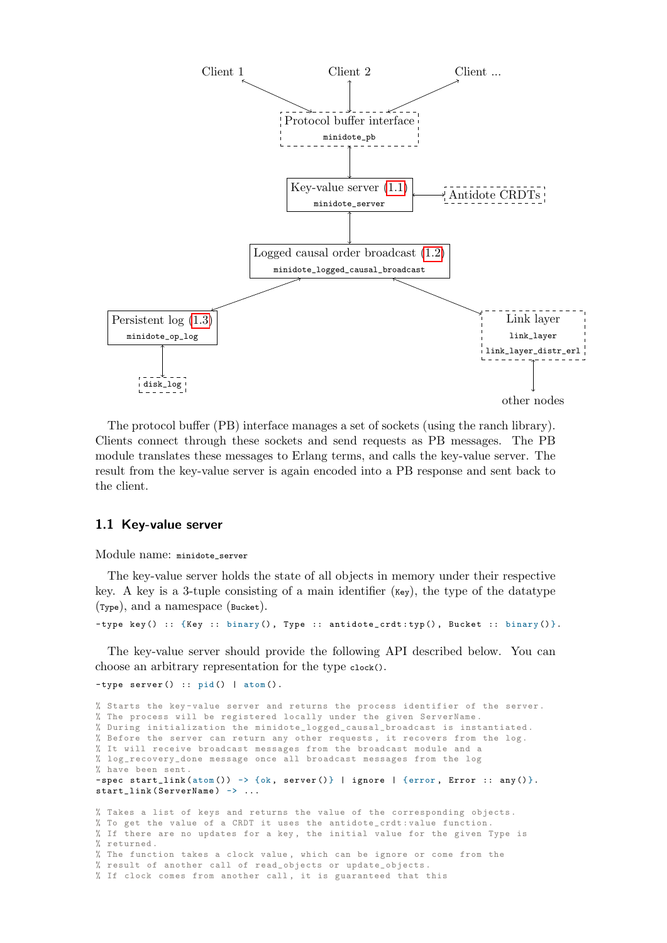

The protocol buffer (PB) interface manages a set of sockets (using the ranch library). Clients connect through these sockets and send requests as PB messages. The PB module translates these messages to Erlang terms, and calls the key-value server. The result from the key-value server is again encoded into a PB response and sent back to the client.

#### <span id="page-3-0"></span>1.1 Key-value server

Module name: minidote\_server

The key-value server holds the state of all objects in memory under their respective key. A key is a 3-tuple consisting of a main identifier ( $\kappa_{\rm{ey}}$ ), the type of the datatype (Type), and a namespace (Bucket).

-type key () :: {Key :: binary (), Type :: antidote\_crdt:typ (), Bucket :: binary () }.

The key-value server should provide the following API described below. You can choose an arbitrary representation for the type clock().

```
-type server () :: pid () | atom ().
```

```
% Starts the key - value server and returns the process identifier of the server .
% The process will be registered locally under the given ServerName .
% During initialization the minidote_logged_causal_broadcast is instantiated .
% Before the server can return any other requests , it recovers from the log .
% It will receive broadcast messages from the broadcast module and a
% log_recovery_done message once all broadcast messages from the log
% have been sent .
-spec start_link (atom ()) -> {ok, server ()} | ignore | {error, Error :: any ()}.
start_link ( ServerName ) -> ...
% Takes a list of keys and returns the value of the corresponding objects .
% To get the value of a CRDT it uses the antidote_crdt : value function .
% If there are no updates for a key , the initial value for the given Type is
% returned .
% The function takes a clock value , which can be ignore or come from the
```
% result of another call of read\_objects or update\_objects . % If clock comes from another call , it is guaranteed that this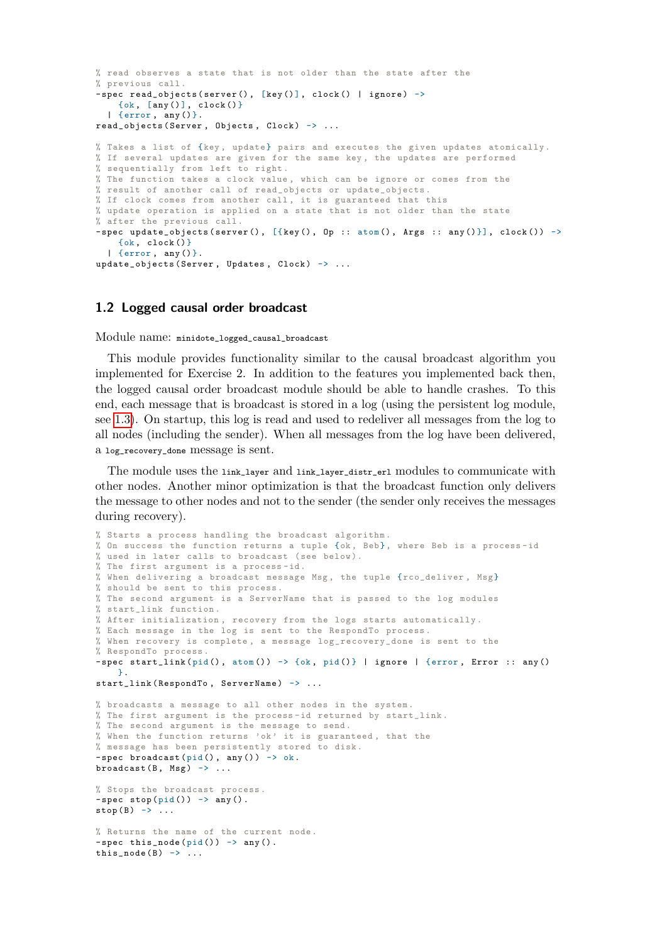```
% read observes a state that is not older than the state after the
% previous call .
-spec read objects ( server (), [kev()], clock () | ignore ) ->
   \{ok, \, \lceil any() \rceil, \, clock() \}| {error , any ()}.
read_objects (Server, Objects, Clock) -> ...
% Takes a list of {key, update} pairs and executes the given updates atomically.
% If several updates are given for the same key , the updates are performed
% sequentially from left to right .
% The function takes a clock value , which can be ignore or comes from the
% result of another call of read_objects or update_objects .
% If clock comes from another call , it is guaranteed that this
% update operation is applied on a state that is not older than the state
% after the previous call .
-spec update_objects (server (), [{key (), Op :: atom (), Args :: any ()}], clock ()) ->
    \{ok, clock()\}| {error , any ()}.
update_objects (Server, Updates, Clock) -> ...
```
#### <span id="page-4-0"></span>1.2 Logged causal order broadcast

Module name: minidote\_logged\_causal\_broadcast

This module provides functionality similar to the causal broadcast algorithm you implemented for Exercise 2. In addition to the features you implemented back then, the logged causal order broadcast module should be able to handle crashes. To this end, each message that is broadcast is stored in a log (using the persistent log module, see [1.3\)](#page-5-0). On startup, this log is read and used to redeliver all messages from the log to all nodes (including the sender). When all messages from the log have been delivered, a log\_recovery\_done message is sent.

The module uses the link\_layer and link\_layer\_distr\_erl modules to communicate with other nodes. Another minor optimization is that the broadcast function only delivers the message to other nodes and not to the sender (the sender only receives the messages during recovery).

```
% Starts a process handling the broadcast algorithm .
% On success the function returns a tuple {ok , Beb}, where Beb is a process -id
% used in later calls to broadcast (see below ).
% The first argument is a process -id.
% When delivering a broadcast message Msg, the tuple {rco_deliver, Msg}
% should be sent to this process.
% The second argument is a ServerName that is passed to the log modules
% start_link function .
% After initialization , recovery from the logs starts automatically .
% Each message in the log is sent to the RespondTo process .
% When recovery is complete , a message log_recovery_done is sent to the
% RespondTo process .
-spec start_link(pid(), atom()) -> {ok, pid()} | ignore | {error, Error :: any()
    }.
start_link (RespondTo, ServerName) -> ...
% broadcasts a message to all other nodes in the system .
% The first argument is the process -id returned by start_link .
% The second argument is the message to send .
% When the function returns 'ok ' it is guaranteed , that the
% message has been persistently stored to disk .
-spec broadcast (pid(), any ()) \rightarrow ok.
broadcast (B, Msg) -> ...
% Stops the broadcast process .
-spec stop (pid ()) -> any ().
stop(B) \rightarrow \ldots% Returns the name of the current node .
-spec this_node(pid()) -> any().
this_node (B) -> \ldots
```